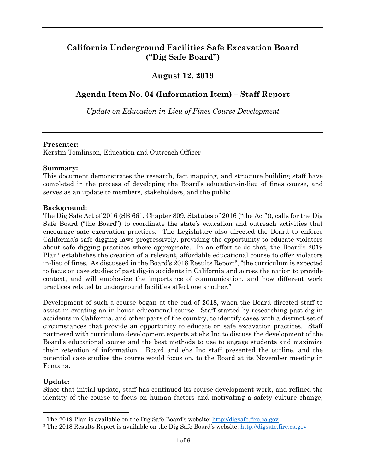# **California Underground Facilities Safe Excavation Board ("Dig Safe Board")**

# **August 12, 2019**

# **Agenda Item No. 04 (Information Item) – Staff Report**

*Update on Education-in-Lieu of Fines Course Development* 

## **Presenter:**

Kerstin Tomlinson, Education and Outreach Officer

## **Summary:**

 completed in the process of developing the Board's education-in-lieu of fines course, and serves as an update to members, stakeholders, and the public. This document demonstrates the research, fact mapping, and structure building staff have

## **Background:**

 The Dig Safe Act of 2016 (SB 661, Chapter 809, Statutes of 2016 ("the Act")), calls for the Dig Safe Board ("the Board") to coordinate the state's education and outreach activities that encourage safe excavation practices. The Legislature also directed the Board to enforce about safe digging practices where appropriate. In an effort to do that, the Board's 2019 California's safe digging laws progressively, providing the opportunity to educate violators Plan<sup>1</sup> establishes the creation of a relevant, affordable educational course to offer violators in-lieu of fines. As discussed in the Board's 2018 Results Report[2,](#page-0-1) "the curriculum is expected to focus on case studies of past dig-in accidents in California and across the nation to provide context, and will emphasize the importance of communication, and how different work practices related to underground facilities affect one another."

 Development of such a course began at the end of 2018, when the Board directed staff to assist in creating an in-house educational course. Staff started by researching past dig-in Board's educational course and the best methods to use to engage students and maximize their retention of information. Board and ehs Inc staff presented the outline, and the potential case studies the course would focus on, to the Board at its November meeting in accidents in California, and other parts of the country, to identify cases with a distinct set of circumstances that provide an opportunity to educate on safe excavation practices. Staff partnered with curriculum development experts at ehs Inc to discuss the development of the Fontana.

## **Update:**

-

 Since that initial update, staff has continued its course development work, and refined the identity of the course to focus on human factors and motivating a safety culture change,

<span id="page-0-0"></span><sup>&</sup>lt;sup>1</sup> The 2019 Plan is available on the Dig Safe Board's website: http://digsafe.fire.ca.gov

<span id="page-0-1"></span><sup>&</sup>lt;sup>2</sup> The 2018 Results Report is available on the Dig Safe Board's website: http://digsafe.fire.ca.gov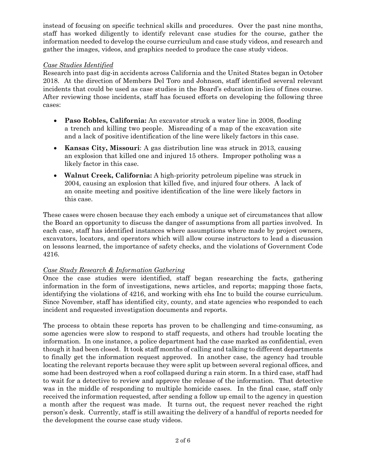instead of focusing on specific technical skills and procedures. Over the past nine months, staff has worked diligently to identify relevant case studies for the course, gather the information needed to develop the course curriculum and case study videos, and research and gather the images, videos, and graphics needed to produce the case study videos.

## *Case Studies Identified*

 Research into past dig-in accidents across California and the United States began in October 2018. At the direction of Members Del Toro and Johnson, staff identified several relevant incidents that could be used as case studies in the Board's education in-lieu of fines course. incidents that could be used as case studies in the Board's education in-lieu of fines course. After reviewing those incidents, staff has focused efforts on developing the following three cases:

- • **Paso Robles, California:** An excavator struck a water line in 2008, flooding a trench and killing two people. Misreading of a map of the excavation site and a lack of positive identification of the line were likely factors in this case.
- an explosion that killed one and injured 15 others. Improper potholing was a likely factor in this case. • **Kansas City, Missouri**: A gas distribution line was struck in 2013, causing
- • **Walnut Creek, California:** A high-priority petroleum pipeline was struck in 2004, causing an explosion that killed five, and injured four others. A lack of an onsite meeting and positive identification of the line were likely factors in this case.

 These cases were chosen because they each embody a unique set of circumstances that allow excavators, locators, and operators which will allow course instructors to lead a discussion the Board an opportunity to discuss the danger of assumptions from all parties involved. In each case, staff has identified instances where assumptions where made by project owners, on lessons learned, the importance of safety checks, and the violations of Government Code 4216.

#### *Case Study Research & Information Gathering*

 Once the case studies were identified, staff began researching the facts, gathering information in the form of investigations, news articles, and reports; mapping those facts, identifying the violations of 4216, and working with ehs Inc to build the course curriculum. Since November, staff has identified city, county, and state agencies who responded to each incident and requested investigation documents and reports.

incident and requested investigation documents and reports.<br>The process to obtain these reports has proven to be challenging and time-consuming, as some agencies were slow to respond to staff requests, and others had trouble locating the information. In one instance, a police department had the case marked as confidential, even though it had been closed. It took staff months of calling and talking to different departments to finally get the information request approved. In another case, the agency had trouble some had been destroyed when a roof collapsed during a rain storm. In a third case, staff had to wait for a detective to review and approve the release of the information. That detective was in the middle of responding to multiple homicide cases. In the final case, staff only a month after the request was made. It turns out, the request never reached the right the development the course case study videos.<br>  $2\;{\rm of}\;6$ locating the relevant reports because they were split up between several regional offices, and received the information requested, after sending a follow up email to the agency in question person's desk. Currently, staff is still awaiting the delivery of a handful of reports needed for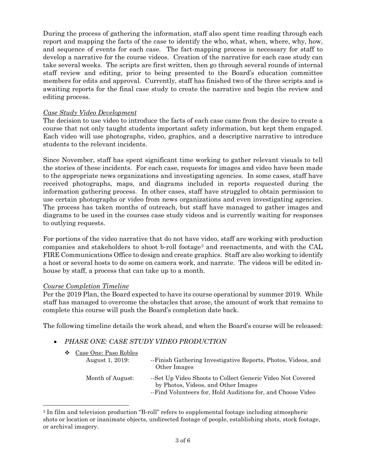During the process of gathering the information, staff also spent time reading through each report and mapping the facts of the case to identify the who, what, when, where, why, how, and sequence of events for each case. The fact-mapping process is necessary for staff to develop a narrative for the course videos. Creation of the narrative for each case study can take several weeks. The scripts are first written, then go through several rounds of internal members for edits and approval. Currently, staff has finished two of the three scripts and is awaiting reports for the final case study to create the narrative and begin the review and staff review and editing, prior to being presented to the Board's education committee editing process.

#### *Case Study Video Development*

 The decision to use video to introduce the facts of each case came from the desire to create a course that not only taught students important safety information, but kept them engaged. Each video will use photographs, video, graphics, and a descriptive narrative to introduce students to the relevant incidents.

students to the relevant incidents.<br>Since November, staff has spent significant time working to gather relevant visuals to tell the stories of these incidents. For each case, requests for images and video have been made to the appropriate news organizations and investigating agencies. In some cases, staff have use certain photographs or video from news organizations and even investigating agencies. The process has taken months of outreach, but staff have managed to gather images and diagrams to be used in the courses case study videos and is currently waiting for responses received photographs, maps, and diagrams included in reports requested during the information gathering process. In other cases, staff have struggled to obtain permission to to outlying requests.

 For portions of the video narrative that do not have video, staff are working with production companies and stakeholders to shoot b-roll footage<sup>[3](#page-2-0)</sup> and reenactments, and with the CAL FIRE Communications Office to design and create graphics. Staff are also working to identify a host or several hosts to do some on camera work, and narrate. The videos will be edited inhouse by staff, a process that can take up to a month.

#### *Course Completion Timeline*

 $\overline{a}$ 

 Per the 2019 Plan, the Board expected to have its course operational by summer 2019. While staff has managed to overcome the obstacles that arose, the amount of work that remains to complete this course will push the Board's completion date back.

The following timeline details the work ahead, and when the Board's course will be released:

### • *PHASE ONE: CASE STUDY VIDEO PRODUCTION*

| Case One: Paso Robles<br>❖<br>August 1, 2019: | --Finish Gathering Investigative Reports, Photos, Videos, and<br>Other Images                                                                                    |
|-----------------------------------------------|------------------------------------------------------------------------------------------------------------------------------------------------------------------|
| Month of August:                              | --Set Up Video Shoots to Collect Generic Video Not Covered<br>by Photos, Videos, and Other Images<br>--Find Volunteers for, Hold Auditions for, and Choose Video |

<span id="page-2-0"></span><sup>3</sup> In film and television production "B-roll" refers to supplemental footage including atmospheric shots or location or inanimate objects, undirected footage of people, establishing shots, stock footage, or archival imagery.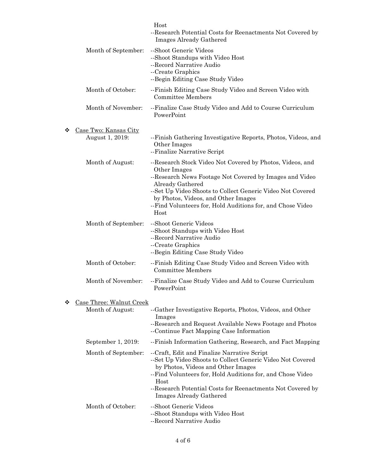|                                               | Host<br>--Research Potential Costs for Reenactments Not Covered by<br>Images Already Gathered                                                                                                                                                                                                                                        |
|-----------------------------------------------|--------------------------------------------------------------------------------------------------------------------------------------------------------------------------------------------------------------------------------------------------------------------------------------------------------------------------------------|
| Month of September:                           | --Shoot Generic Videos<br>--Shoot Standups with Video Host<br>--Record Narrative Audio<br>--Create Graphics<br>--Begin Editing Case Study Video                                                                                                                                                                                      |
| Month of October:                             | --Finish Editing Case Study Video and Screen Video with<br>Committee Members                                                                                                                                                                                                                                                         |
| Month of November:                            | --Finalize Case Study Video and Add to Course Curriculum<br>PowerPoint                                                                                                                                                                                                                                                               |
| Case Two: Kansas City<br>❖<br>August 1, 2019: | -- Finish Gathering Investigative Reports, Photos, Videos, and<br>Other Images<br>--Finalize Narrative Script                                                                                                                                                                                                                        |
| Month of August:                              | --Research Stock Video Not Covered by Photos, Videos, and<br>Other Images<br>--Research News Footage Not Covered by Images and Video<br>Already Gathered<br>--Set Up Video Shoots to Collect Generic Video Not Covered<br>by Photos, Videos, and Other Images<br>-- Find Volunteers for, Hold Auditions for, and Chose Video<br>Host |
| Month of September:                           | --Shoot Generic Videos<br>--Shoot Standups with Video Host<br>--Record Narrative Audio<br>--Create Graphics<br>--Begin Editing Case Study Video                                                                                                                                                                                      |
| Month of October:                             | --Finish Editing Case Study Video and Screen Video with<br>Committee Members                                                                                                                                                                                                                                                         |
| Month of November:                            | --Finalize Case Study Video and Add to Course Curriculum<br>PowerPoint                                                                                                                                                                                                                                                               |
| Case Three: Walnut Creek<br>❖                 |                                                                                                                                                                                                                                                                                                                                      |
| Month of August:                              | --Gather Investigative Reports, Photos, Videos, and Other<br>Images<br>--Research and Request Available News Footage and Photos<br>--Continue Fact Mapping Case Information                                                                                                                                                          |
| September 1, 2019:                            | --Finish Information Gathering, Research, and Fact Mapping                                                                                                                                                                                                                                                                           |
| Month of September:                           | --Craft, Edit and Finalize Narrative Script<br>--Set Up Video Shoots to Collect Generic Video Not Covered<br>by Photos, Videos and Other Images<br>-- Find Volunteers for, Hold Auditions for, and Chose Video<br>Host<br>--Research Potential Costs for Reenactments Not Covered by<br>Images Already Gathered                      |
| Month of October:                             | --Shoot Generic Videos<br>--Shoot Standups with Video Host<br>--Record Narrative Audio                                                                                                                                                                                                                                               |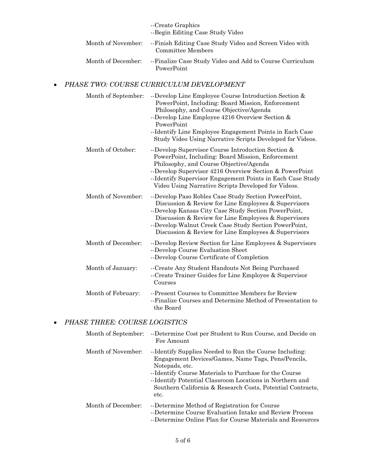|                    | --Create Graphics<br>--Begin Editing Case Study Video                        |
|--------------------|------------------------------------------------------------------------------|
| Month of November: | --Finish Editing Case Study Video and Screen Video with<br>Committee Members |
| Month of December: | --Finalize Case Study Video and Add to Course Curriculum<br>PowerPoint       |

## • *PHASE TWO: COURSE CURRICULUM DEVELOPMENT*

| Month of September: | --Develop Line Employee Course Introduction Section &<br>PowerPoint, Including: Board Mission, Enforcement<br>Philosophy, and Course Objective/Agenda<br>--Develop Line Employee 4216 Overview Section &<br>PowerPoint<br>--Identify Line Employee Engagement Points in Each Case<br>Study Video Using Narrative Scripts Developed for Videos. |
|---------------------|------------------------------------------------------------------------------------------------------------------------------------------------------------------------------------------------------------------------------------------------------------------------------------------------------------------------------------------------|
| Month of October:   | --Develop Supervisor Course Introduction Section &<br>PowerPoint, Including: Board Mission, Enforcement<br>Philosophy, and Course Objective/Agenda<br>--Develop Supervisor 4216 Overview Section & PowerPoint<br>--Identify Supervisor Engagement Points in Each Case Study<br>Video Using Narrative Scripts Developed for Videos.             |
| Month of November:  | --Develop Paso Robles Case Study Section PowerPoint,<br>Discussion & Review for Line Employees & Supervisors<br>--Develop Kansas City Case Study Section PowerPoint,<br>Discussion & Review for Line Employees & Supervisors<br>--Develop Walnut Creek Case Study Section PowerPoint,<br>Discussion & Review for Line Employees & Supervisors  |
| Month of December:  | --Develop Review Section for Line Employees & Supervisors<br>--Develop Course Evaluation Sheet<br>--Develop Course Certificate of Completion                                                                                                                                                                                                   |
| Month of January:   | --Create Any Student Handouts Not Being Purchased<br>--Create Trainer Guides for Line Employee & Supervisor<br>Courses                                                                                                                                                                                                                         |
| Month of February:  | --Present Courses to Committee Members for Review<br>--Finalize Courses and Determine Method of Presentation to<br>the Board                                                                                                                                                                                                                   |

# • *PHASE THREE: COURSE LOGISTICS*

| Month of September: | --Determine Cost per Student to Run Course, and Decide on<br>Fee Amount                                                                                                                                                                                                                                                     |
|---------------------|-----------------------------------------------------------------------------------------------------------------------------------------------------------------------------------------------------------------------------------------------------------------------------------------------------------------------------|
| Month of November:  | --Identify Supplies Needed to Run the Course Including:<br>Engagement Devices/Games, Name Tags, Pens/Pencils,<br>Notepads, etc.<br>--Identify Course Materials to Purchase for the Course<br>--Identify Potential Classroom Locations in Northern and<br>Southern California & Research Costs, Potential Contracts,<br>etc. |
| Month of December:  | --Determine Method of Registration for Course<br>--Determine Course Evaluation Intake and Review Process<br>--Determine Online Plan for Course Materials and Resources                                                                                                                                                      |